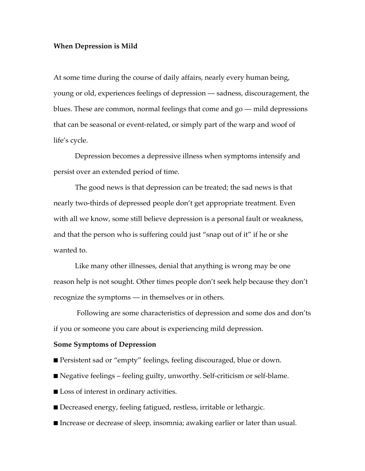## **When Depression is Mild**

At some time during the course of daily affairs, nearly every human being, young or old, experiences feelings of depression — sadness, discouragement, the blues. These are common, normal feelings that come and go — mild depressions that can be seasonal or event-related, or simply part of the warp and woof of life's cycle.

Depression becomes a depressive illness when symptoms intensify and persist over an extended period of time.

The good news is that depression can be treated; the sad news is that nearly two-thirds of depressed people don't get appropriate treatment. Even with all we know, some still believe depression is a personal fault or weakness, and that the person who is suffering could just "snap out of it" if he or she wanted to.

Like many other illnesses, denial that anything is wrong may be one reason help is not sought. Other times people don't seek help because they don't recognize the symptoms — in themselves or in others.

Following are some characteristics of depression and some dos and don'ts if you or someone you care about is experiencing mild depression.

## **Some Symptoms of Depression**

- Persistent sad or "empty" feelings, feeling discouraged, blue or down.
- Negative feelings feeling guilty, unworthy. Self-criticism or self-blame.
- Loss of interest in ordinary activities.
- Decreased energy, feeling fatigued, restless, irritable or lethargic.
- Increase or decrease of sleep, insomnia; awaking earlier or later than usual.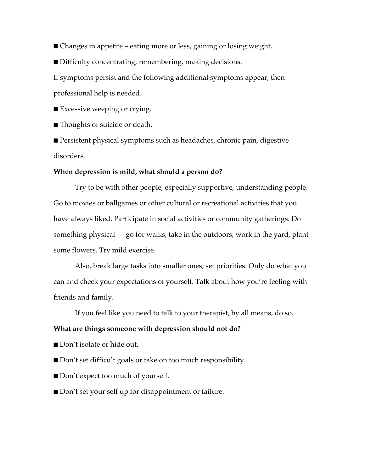- Changes in appetite eating more or less, gaining or losing weight.
- Difficulty concentrating, remembering, making decisions.

If symptoms persist and the following additional symptoms appear, then professional help is needed.

■ Excessive weeping or crying.

■ Thoughts of suicide or death.

■ Persistent physical symptoms such as headaches, chronic pain, digestive disorders.

## **When depression is mild, what should a person do?**

Try to be with other people, especially supportive, understanding people. Go to movies or ballgames or other cultural or recreational activities that you have always liked. Participate in social activities or community gatherings. Do something physical — go for walks, take in the outdoors, work in the yard, plant some flowers. Try mild exercise.

Also, break large tasks into smaller ones; set priorities. Only do what you can and check your expectations of yourself. Talk about how you're feeling with friends and family.

If you feel like you need to talk to your therapist, by all means, do so.

## **What are things someone with depression should not do?**

- Don't isolate or hide out.
- Don't set difficult goals or take on too much responsibility.
- Don't expect too much of yourself.
- Don't set your self up for disappointment or failure.